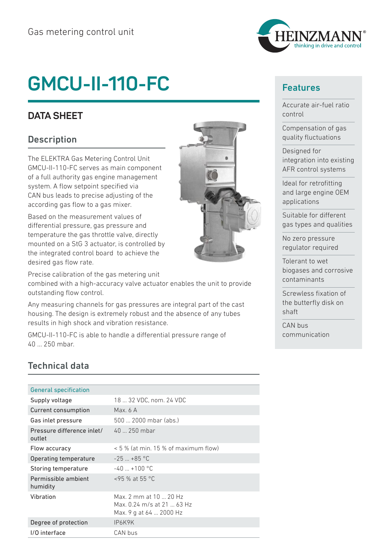# **GMCU-II-110-FC**

## **DATA SHEET**

#### **Description**

The ELEKTRA Gas Metering Control Unit GMCU-II-110-FC serves as main component of a full authority gas engine management system. A flow setpoint specified via CAN bus leads to precise adjusting of the according gas flow to a gas mixer.

Based on the measurement values of differential pressure, gas pressure and temperature the gas throttle valve, directly mounted on a StG 3 actuator, is controlled by the integrated control board to achieve the desired gas flow rate.

Precise calibration of the gas metering unit combined with a high-accuracy valve actuator enables the unit to provide outstanding flow control.

Any measuring channels for gas pressures are integral part of the cast housing. The design is extremely robust and the absence of any tubes results in high shock and vibration resistance.

GMCU-II-110-FC is able to handle a differential pressure range of 40 ... 250 mbar.



#### Features

Accurate air-fuel ratio control

Compensation of gas quality fluctuations

Designed for integration into existing AFR control systems

Ideal for retrofitting and large engine OEM applications

Suitable for different gas types and qualities

No zero pressure regulator required

Tolerant to wet biogases and corrosive contaminants

Screwless fixation of the butterfly disk on shaft

CAN bus communication

### Technical data

| <b>General specification</b>         |                                                                                 |
|--------------------------------------|---------------------------------------------------------------------------------|
| Supply voltage                       | 18  32 VDC, nom. 24 VDC                                                         |
| Current consumption                  | Max. 6 A                                                                        |
| Gas inlet pressure                   | 500  2000 mbar (abs.)                                                           |
| Pressure difference inlet/<br>outlet | 40  250 mbar                                                                    |
| Flow accuracy                        | < 5 % (at min. 15 % of maximum flow)                                            |
| Operating temperature                | $-25$ +85 °C                                                                    |
| Storing temperature                  | $-40 + 100$ °C                                                                  |
| Permissible ambient<br>humidity      | $<$ 95 % at 55 °C                                                               |
| Vibration                            | Max. 2 mm at 10  20 Hz<br>Max, 0.24 m/s at 21  63 Hz<br>Max. 9 g at 64  2000 Hz |
| Degree of protection                 | IP6K9K                                                                          |
| I/O interface                        | CAN bus                                                                         |